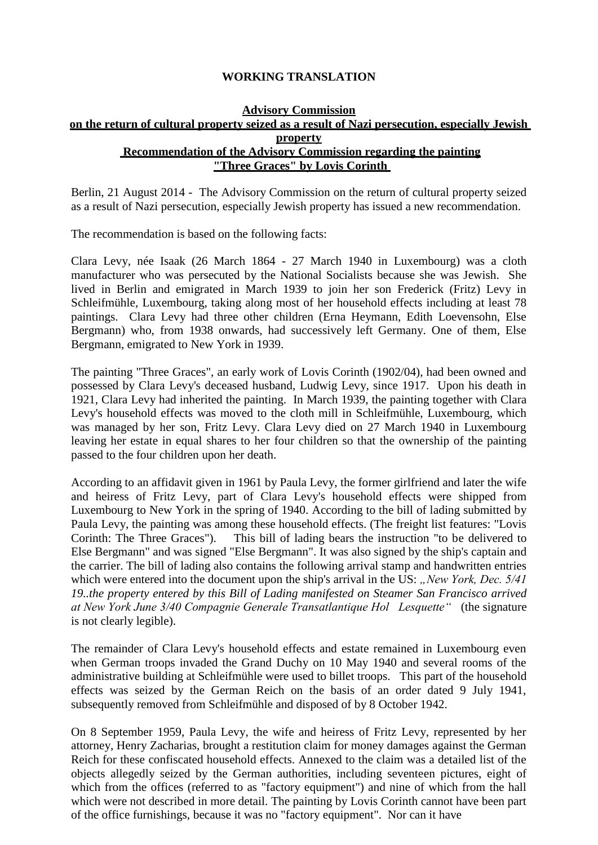## **WORKING TRANSLATION**

## **Advisory Commission on the return of cultural property seized as a result of Nazi persecution, especially Jewish property Recommendation of the Advisory Commission regarding the painting "Three Graces" by Lovis Corinth**

Berlin, 21 August 2014 - The Advisory Commission on the return of cultural property seized as a result of Nazi persecution, especially Jewish property has issued a new recommendation.

The recommendation is based on the following facts:

Clara Levy, née Isaak (26 March 1864 - 27 March 1940 in Luxembourg) was a cloth manufacturer who was persecuted by the National Socialists because she was Jewish. She lived in Berlin and emigrated in March 1939 to join her son Frederick (Fritz) Levy in Schleifmühle, Luxembourg, taking along most of her household effects including at least 78 paintings. Clara Levy had three other children (Erna Heymann, Edith Loevensohn, Else Bergmann) who, from 1938 onwards, had successively left Germany. One of them, Else Bergmann, emigrated to New York in 1939.

The painting "Three Graces", an early work of Lovis Corinth (1902/04), had been owned and possessed by Clara Levy's deceased husband, Ludwig Levy, since 1917. Upon his death in 1921, Clara Levy had inherited the painting. In March 1939, the painting together with Clara Levy's household effects was moved to the cloth mill in Schleifmühle, Luxembourg, which was managed by her son, Fritz Levy. Clara Levy died on 27 March 1940 in Luxembourg leaving her estate in equal shares to her four children so that the ownership of the painting passed to the four children upon her death.

According to an affidavit given in 1961 by Paula Levy, the former girlfriend and later the wife and heiress of Fritz Levy, part of Clara Levy's household effects were shipped from Luxembourg to New York in the spring of 1940. According to the bill of lading submitted by Paula Levy, the painting was among these household effects. (The freight list features: "Lovis Corinth: The Three Graces"). This bill of lading bears the instruction "to be delivered to Else Bergmann" and was signed "Else Bergmann". It was also signed by the ship's captain and the carrier. The bill of lading also contains the following arrival stamp and handwritten entries which were entered into the document upon the ship's arrival in the US: *"New York, Dec.* 5/41 *19..the property entered by this Bill of Lading manifested on Steamer San Francisco arrived at New York June 3/40 Compagnie Generale Transatlantique Hol Lesquette"* (the signature is not clearly legible).

The remainder of Clara Levy's household effects and estate remained in Luxembourg even when German troops invaded the Grand Duchy on 10 May 1940 and several rooms of the administrative building at Schleifmühle were used to billet troops. This part of the household effects was seized by the German Reich on the basis of an order dated 9 July 1941, subsequently removed from Schleifmühle and disposed of by 8 October 1942.

On 8 September 1959, Paula Levy, the wife and heiress of Fritz Levy, represented by her attorney, Henry Zacharias, brought a restitution claim for money damages against the German Reich for these confiscated household effects. Annexed to the claim was a detailed list of the objects allegedly seized by the German authorities, including seventeen pictures, eight of which from the offices (referred to as "factory equipment") and nine of which from the hall which were not described in more detail. The painting by Lovis Corinth cannot have been part of the office furnishings, because it was no "factory equipment". Nor can it have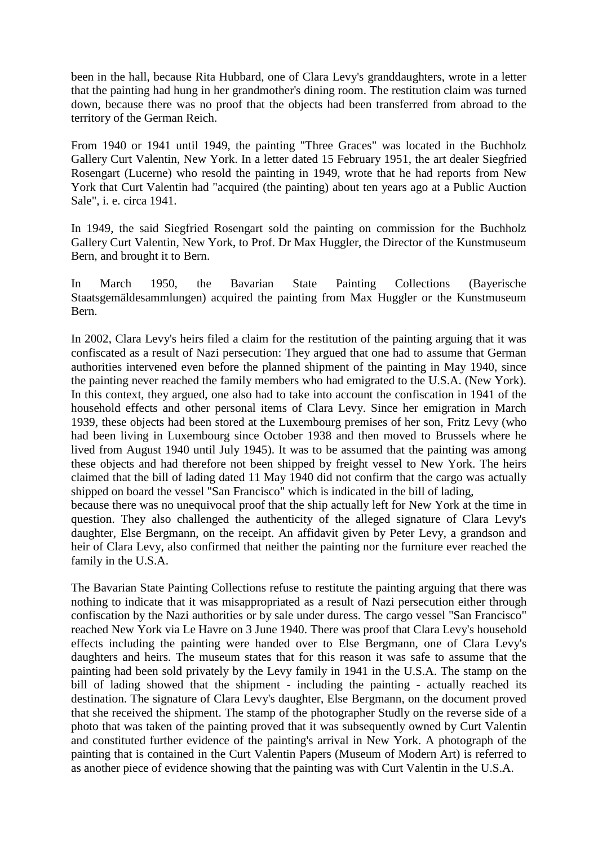been in the hall, because Rita Hubbard, one of Clara Levy's granddaughters, wrote in a letter that the painting had hung in her grandmother's dining room. The restitution claim was turned down, because there was no proof that the objects had been transferred from abroad to the territory of the German Reich.

From 1940 or 1941 until 1949, the painting "Three Graces" was located in the Buchholz Gallery Curt Valentin, New York. In a letter dated 15 February 1951, the art dealer Siegfried Rosengart (Lucerne) who resold the painting in 1949, wrote that he had reports from New York that Curt Valentin had "acquired (the painting) about ten years ago at a Public Auction Sale", i. e. circa 1941.

In 1949, the said Siegfried Rosengart sold the painting on commission for the Buchholz Gallery Curt Valentin, New York, to Prof. Dr Max Huggler, the Director of the Kunstmuseum Bern, and brought it to Bern.

In March 1950, the Bavarian State Painting Collections (Bayerische Staatsgemäldesammlungen) acquired the painting from Max Huggler or the Kunstmuseum Bern.

In 2002, Clara Levy's heirs filed a claim for the restitution of the painting arguing that it was confiscated as a result of Nazi persecution: They argued that one had to assume that German authorities intervened even before the planned shipment of the painting in May 1940, since the painting never reached the family members who had emigrated to the U.S.A. (New York). In this context, they argued, one also had to take into account the confiscation in 1941 of the household effects and other personal items of Clara Levy. Since her emigration in March 1939, these objects had been stored at the Luxembourg premises of her son, Fritz Levy (who had been living in Luxembourg since October 1938 and then moved to Brussels where he lived from August 1940 until July 1945). It was to be assumed that the painting was among these objects and had therefore not been shipped by freight vessel to New York. The heirs claimed that the bill of lading dated 11 May 1940 did not confirm that the cargo was actually shipped on board the vessel "San Francisco" which is indicated in the bill of lading, because there was no unequivocal proof that the ship actually left for New York at the time in

question. They also challenged the authenticity of the alleged signature of Clara Levy's daughter, Else Bergmann, on the receipt. An affidavit given by Peter Levy, a grandson and heir of Clara Levy, also confirmed that neither the painting nor the furniture ever reached the family in the U.S.A.

The Bavarian State Painting Collections refuse to restitute the painting arguing that there was nothing to indicate that it was misappropriated as a result of Nazi persecution either through confiscation by the Nazi authorities or by sale under duress. The cargo vessel "San Francisco" reached New York via Le Havre on 3 June 1940. There was proof that Clara Levy's household effects including the painting were handed over to Else Bergmann, one of Clara Levy's daughters and heirs. The museum states that for this reason it was safe to assume that the painting had been sold privately by the Levy family in 1941 in the U.S.A. The stamp on the bill of lading showed that the shipment - including the painting - actually reached its destination. The signature of Clara Levy's daughter, Else Bergmann, on the document proved that she received the shipment. The stamp of the photographer Studly on the reverse side of a photo that was taken of the painting proved that it was subsequently owned by Curt Valentin and constituted further evidence of the painting's arrival in New York. A photograph of the painting that is contained in the Curt Valentin Papers (Museum of Modern Art) is referred to as another piece of evidence showing that the painting was with Curt Valentin in the U.S.A.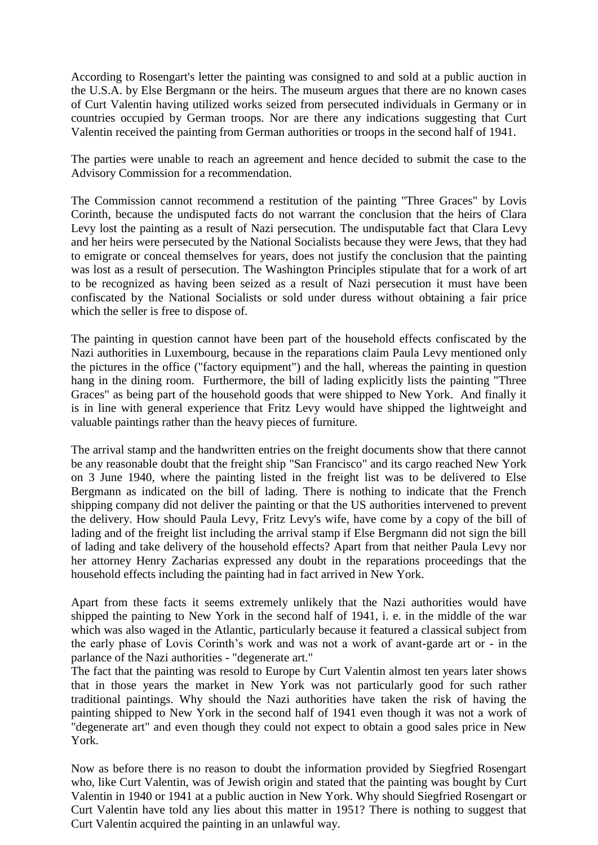According to Rosengart's letter the painting was consigned to and sold at a public auction in the U.S.A. by Else Bergmann or the heirs. The museum argues that there are no known cases of Curt Valentin having utilized works seized from persecuted individuals in Germany or in countries occupied by German troops. Nor are there any indications suggesting that Curt Valentin received the painting from German authorities or troops in the second half of 1941.

The parties were unable to reach an agreement and hence decided to submit the case to the Advisory Commission for a recommendation.

The Commission cannot recommend a restitution of the painting "Three Graces" by Lovis Corinth, because the undisputed facts do not warrant the conclusion that the heirs of Clara Levy lost the painting as a result of Nazi persecution. The undisputable fact that Clara Levy and her heirs were persecuted by the National Socialists because they were Jews, that they had to emigrate or conceal themselves for years, does not justify the conclusion that the painting was lost as a result of persecution. The Washington Principles stipulate that for a work of art to be recognized as having been seized as a result of Nazi persecution it must have been confiscated by the National Socialists or sold under duress without obtaining a fair price which the seller is free to dispose of.

The painting in question cannot have been part of the household effects confiscated by the Nazi authorities in Luxembourg, because in the reparations claim Paula Levy mentioned only the pictures in the office ("factory equipment") and the hall, whereas the painting in question hang in the dining room. Furthermore, the bill of lading explicitly lists the painting "Three Graces" as being part of the household goods that were shipped to New York. And finally it is in line with general experience that Fritz Levy would have shipped the lightweight and valuable paintings rather than the heavy pieces of furniture.

The arrival stamp and the handwritten entries on the freight documents show that there cannot be any reasonable doubt that the freight ship "San Francisco" and its cargo reached New York on 3 June 1940, where the painting listed in the freight list was to be delivered to Else Bergmann as indicated on the bill of lading. There is nothing to indicate that the French shipping company did not deliver the painting or that the US authorities intervened to prevent the delivery. How should Paula Levy, Fritz Levy's wife, have come by a copy of the bill of lading and of the freight list including the arrival stamp if Else Bergmann did not sign the bill of lading and take delivery of the household effects? Apart from that neither Paula Levy nor her attorney Henry Zacharias expressed any doubt in the reparations proceedings that the household effects including the painting had in fact arrived in New York.

Apart from these facts it seems extremely unlikely that the Nazi authorities would have shipped the painting to New York in the second half of 1941, i. e. in the middle of the war which was also waged in the Atlantic, particularly because it featured a classical subject from the early phase of Lovis Corinth's work and was not a work of avant-garde art or - in the parlance of the Nazi authorities - "degenerate art."

The fact that the painting was resold to Europe by Curt Valentin almost ten years later shows that in those years the market in New York was not particularly good for such rather traditional paintings. Why should the Nazi authorities have taken the risk of having the painting shipped to New York in the second half of 1941 even though it was not a work of "degenerate art" and even though they could not expect to obtain a good sales price in New York.

Now as before there is no reason to doubt the information provided by Siegfried Rosengart who, like Curt Valentin, was of Jewish origin and stated that the painting was bought by Curt Valentin in 1940 or 1941 at a public auction in New York. Why should Siegfried Rosengart or Curt Valentin have told any lies about this matter in 1951? There is nothing to suggest that Curt Valentin acquired the painting in an unlawful way.